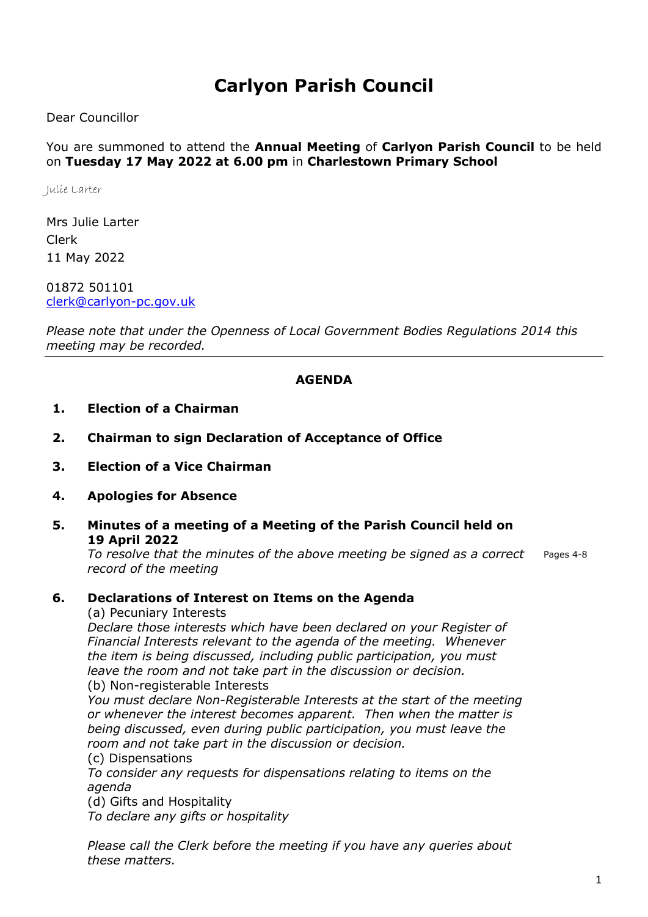# Carlyon Parish Council

Dear Councillor

You are summoned to attend the Annual Meeting of Carlyon Parish Council to be held on Tuesday 17 May 2022 at 6.00 pm in Charlestown Primary School

Julie Larter

Mrs Julie Larter Clerk 11 May 2022

01872 501101 clerk@carlyon-pc.gov.uk

Please note that under the Openness of Local Government Bodies Regulations 2014 this meeting may be recorded.

#### AGENDA

#### 1. Election of a Chairman

- 2. Chairman to sign Declaration of Acceptance of Office
- 3. Election of a Vice Chairman
- 4. Apologies for Absence
- 5. Minutes of a meeting of a Meeting of the Parish Council held on 19 April 2022

To resolve that the minutes of the above meeting be signed as a correct record of the meeting Pages 4-8

#### 6. Declarations of Interest on Items on the Agenda

(a) Pecuniary Interests

Declare those interests which have been declared on your Register of Financial Interests relevant to the agenda of the meeting. Whenever the item is being discussed, including public participation, you must leave the room and not take part in the discussion or decision. (b) Non-registerable Interests

You must declare Non-Registerable Interests at the start of the meeting or whenever the interest becomes apparent. Then when the matter is being discussed, even during public participation, you must leave the room and not take part in the discussion or decision.

(c) Dispensations

To consider any requests for dispensations relating to items on the agenda

(d) Gifts and Hospitality

To declare any gifts or hospitality

Please call the Clerk before the meeting if you have any queries about these matters.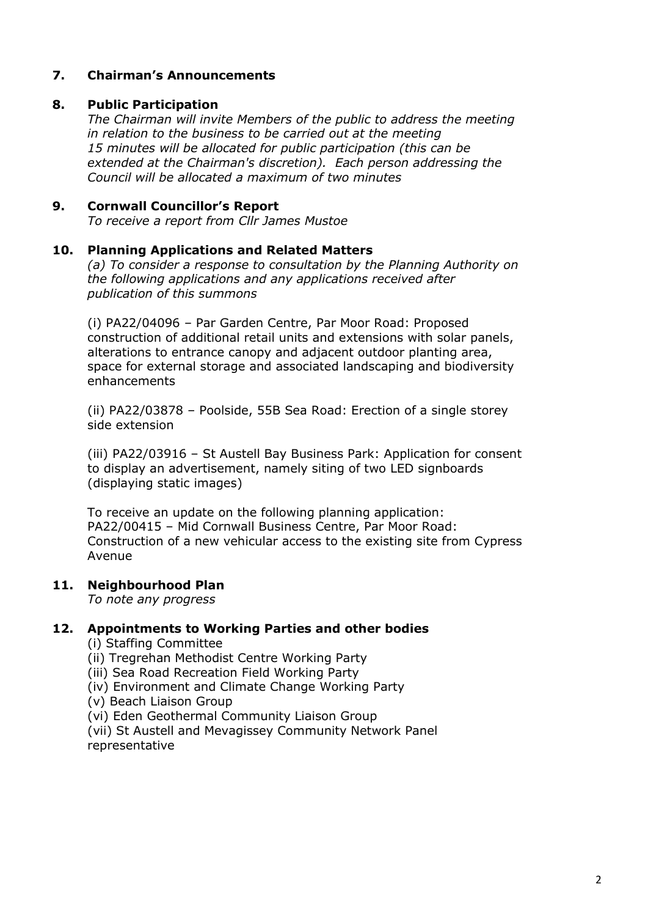#### 7. Chairman's Announcements

### 8. Public Participation

The Chairman will invite Members of the public to address the meeting in relation to the business to be carried out at the meeting 15 minutes will be allocated for public participation (this can be extended at the Chairman's discretion). Each person addressing the Council will be allocated a maximum of two minutes

#### 9. Cornwall Councillor's Report

To receive a report from Cllr James Mustoe

#### 10. Planning Applications and Related Matters

(a) To consider a response to consultation by the Planning Authority on the following applications and any applications received after publication of this summons

(i) PA22/04096 – Par Garden Centre, Par Moor Road: Proposed construction of additional retail units and extensions with solar panels, alterations to entrance canopy and adjacent outdoor planting area, space for external storage and associated landscaping and biodiversity enhancements

(ii) PA22/03878 – Poolside, 55B Sea Road: Erection of a single storey side extension

(iii) PA22/03916 – St Austell Bay Business Park: Application for consent to display an advertisement, namely siting of two LED signboards (displaying static images)

To receive an update on the following planning application: PA22/00415 – Mid Cornwall Business Centre, Par Moor Road: Construction of a new vehicular access to the existing site from Cypress Avenue

#### 11. Neighbourhood Plan

To note any progress

#### 12. Appointments to Working Parties and other bodies

- (i) Staffing Committee
- (ii) Tregrehan Methodist Centre Working Party
- (iii) Sea Road Recreation Field Working Party
- (iv) Environment and Climate Change Working Party
- (v) Beach Liaison Group
- (vi) Eden Geothermal Community Liaison Group

(vii) St Austell and Mevagissey Community Network Panel representative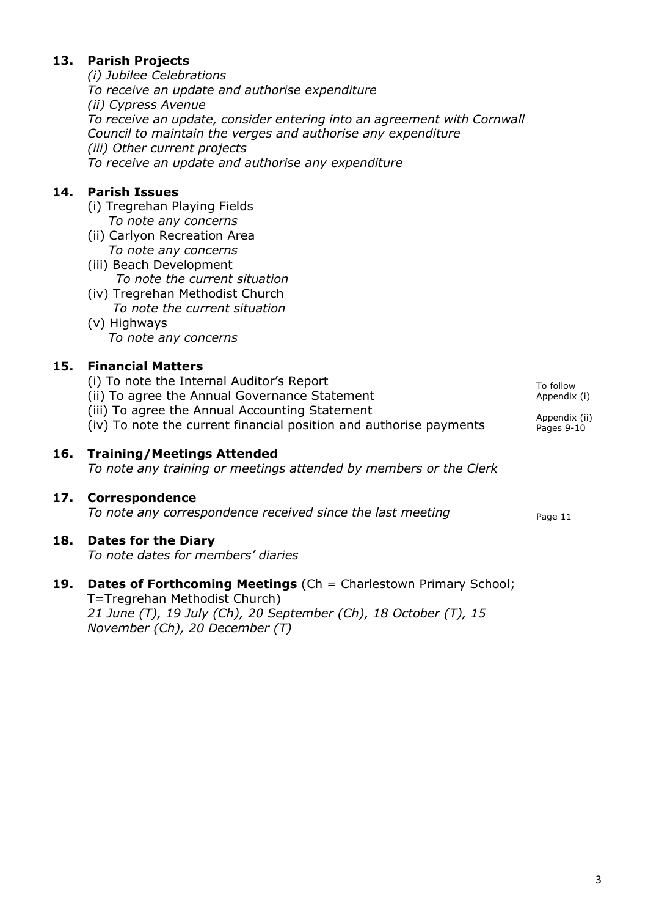# 13. Parish Projects

(i) Jubilee Celebrations To receive an update and authorise expenditure (ii) Cypress Avenue To receive an update, consider entering into an agreement with Cornwall Council to maintain the verges and authorise any expenditure (iii) Other current projects To receive an update and authorise any expenditure

# 14. Parish Issues

- (i) Tregrehan Playing Fields To note any concerns
- (ii) Carlyon Recreation Area To note any concerns
- (iii) Beach Development To note the current situation
- (iv) Tregrehan Methodist Church To note the current situation
- (v) Highways To note any concerns

# 15. Financial Matters

- (i) To note the Internal Auditor's Report
- (ii) To agree the Annual Governance Statement
- (iii) To agree the Annual Accounting Statement
- (iv) To note the current financial position and authorise payments

# 16. Training/Meetings Attended

To note any training or meetings attended by members or the Clerk

## 17. Correspondence

To note any correspondence received since the last meeting  $P_{\text{aqe 11}}$ 

## 18. Dates for the Diary

To note dates for members' diaries

# 19. Dates of Forthcoming Meetings (Ch = Charlestown Primary School; T=Tregrehan Methodist Church)

21 June (T), 19 July (Ch), 20 September (Ch), 18 October (T), 15 November (Ch), 20 December (T)

Appendix (ii) Pages 9-10

To follow Appendix (i)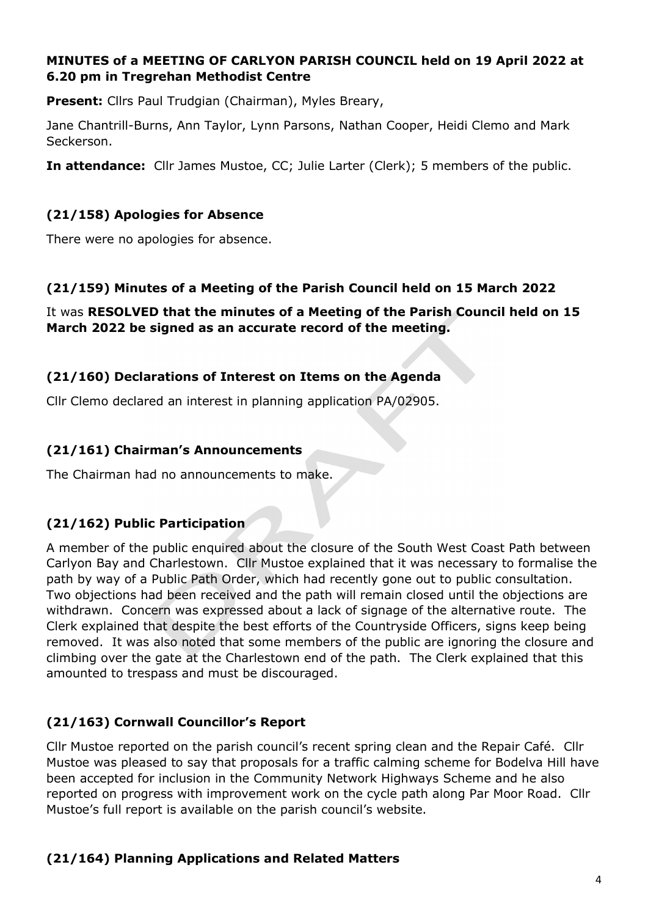#### MINUTES of a MEETING OF CARLYON PARISH COUNCIL held on 19 April 2022 at 6.20 pm in Tregrehan Methodist Centre

Present: Cllrs Paul Trudgian (Chairman), Myles Breary,

Jane Chantrill-Burns, Ann Taylor, Lynn Parsons, Nathan Cooper, Heidi Clemo and Mark Seckerson.

In attendance: Cllr James Mustoe, CC; Julie Larter (Clerk); 5 members of the public.

#### (21/158) Apologies for Absence

There were no apologies for absence.

#### (21/159) Minutes of a Meeting of the Parish Council held on 15 March 2022

It was RESOLVED that the minutes of a Meeting of the Parish Council held on 15 March 2022 be signed as an accurate record of the meeting.

#### (21/160) Declarations of Interest on Items on the Agenda

Cllr Clemo declared an interest in planning application PA/02905.

#### (21/161) Chairman's Announcements

The Chairman had no announcements to make.

#### (21/162) Public Participation

A member of the public enquired about the closure of the South West Coast Path between Carlyon Bay and Charlestown. Cllr Mustoe explained that it was necessary to formalise the path by way of a Public Path Order, which had recently gone out to public consultation. Two objections had been received and the path will remain closed until the objections are withdrawn. Concern was expressed about a lack of signage of the alternative route. The Clerk explained that despite the best efforts of the Countryside Officers, signs keep being removed. It was also noted that some members of the public are ignoring the closure and climbing over the gate at the Charlestown end of the path. The Clerk explained that this amounted to trespass and must be discouraged.

#### (21/163) Cornwall Councillor's Report

Cllr Mustoe reported on the parish council's recent spring clean and the Repair Café. Cllr Mustoe was pleased to say that proposals for a traffic calming scheme for Bodelva Hill have been accepted for inclusion in the Community Network Highways Scheme and he also reported on progress with improvement work on the cycle path along Par Moor Road. Cllr Mustoe's full report is available on the parish council's website.

#### (21/164) Planning Applications and Related Matters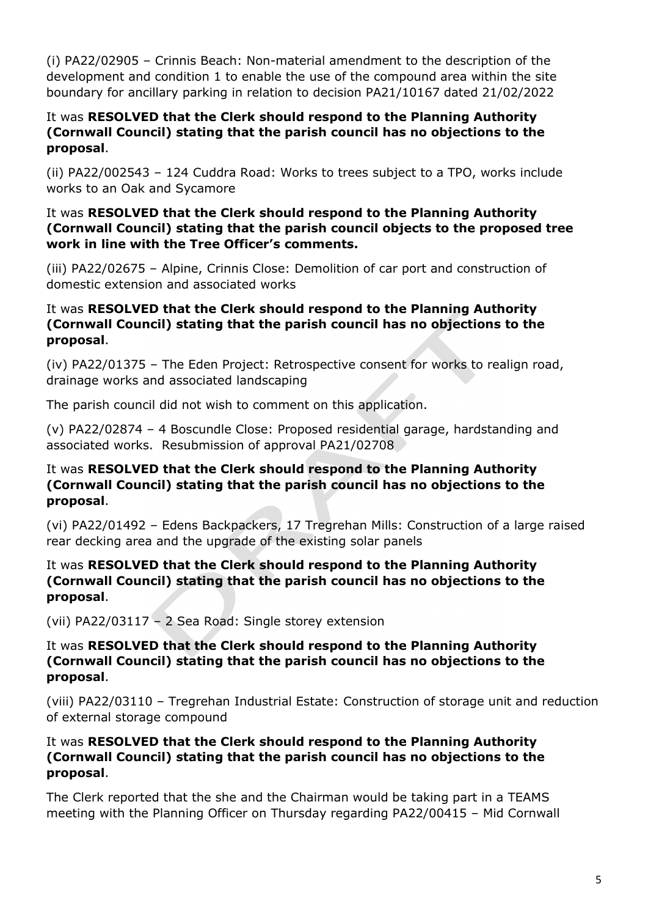(i) PA22/02905 – Crinnis Beach: Non-material amendment to the description of the development and condition 1 to enable the use of the compound area within the site boundary for ancillary parking in relation to decision PA21/10167 dated 21/02/2022

#### It was RESOLVED that the Clerk should respond to the Planning Authority (Cornwall Council) stating that the parish council has no objections to the proposal.

(ii) PA22/002543 – 124 Cuddra Road: Works to trees subject to a TPO, works include works to an Oak and Sycamore

#### It was RESOLVED that the Clerk should respond to the Planning Authority (Cornwall Council) stating that the parish council objects to the proposed tree work in line with the Tree Officer's comments.

(iii) PA22/02675 – Alpine, Crinnis Close: Demolition of car port and construction of domestic extension and associated works

#### It was RESOLVED that the Clerk should respond to the Planning Authority (Cornwall Council) stating that the parish council has no objections to the proposal.

(iv) PA22/01375 – The Eden Project: Retrospective consent for works to realign road, drainage works and associated landscaping

The parish council did not wish to comment on this application.

(v) PA22/02874 – 4 Boscundle Close: Proposed residential garage, hardstanding and associated works. Resubmission of approval PA21/02708

#### It was RESOLVED that the Clerk should respond to the Planning Authority (Cornwall Council) stating that the parish council has no objections to the proposal.

(vi) PA22/01492 – Edens Backpackers, 17 Tregrehan Mills: Construction of a large raised rear decking area and the upgrade of the existing solar panels

#### It was RESOLVED that the Clerk should respond to the Planning Authority (Cornwall Council) stating that the parish council has no objections to the proposal.

(vii) PA22/03117 – 2 Sea Road: Single storey extension

#### It was RESOLVED that the Clerk should respond to the Planning Authority (Cornwall Council) stating that the parish council has no objections to the proposal.

(viii) PA22/03110 – Tregrehan Industrial Estate: Construction of storage unit and reduction of external storage compound

#### It was RESOLVED that the Clerk should respond to the Planning Authority (Cornwall Council) stating that the parish council has no objections to the proposal.

The Clerk reported that the she and the Chairman would be taking part in a TEAMS meeting with the Planning Officer on Thursday regarding PA22/00415 – Mid Cornwall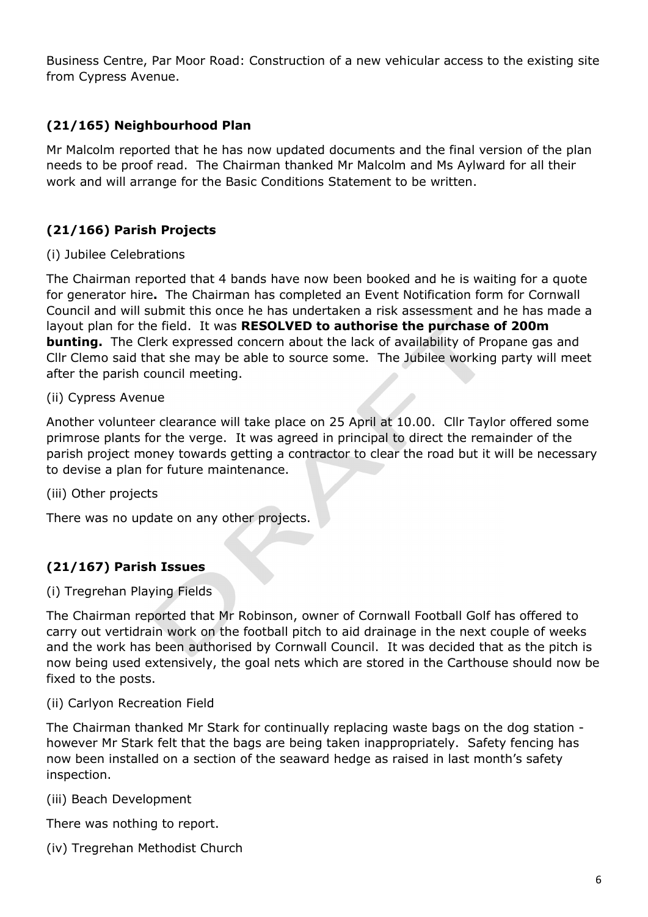Business Centre, Par Moor Road: Construction of a new vehicular access to the existing site from Cypress Avenue.

# (21/165) Neighbourhood Plan

Mr Malcolm reported that he has now updated documents and the final version of the plan needs to be proof read. The Chairman thanked Mr Malcolm and Ms Aylward for all their work and will arrange for the Basic Conditions Statement to be written.

# (21/166) Parish Projects

#### (i) Jubilee Celebrations

The Chairman reported that 4 bands have now been booked and he is waiting for a quote for generator hire. The Chairman has completed an Event Notification form for Cornwall Council and will submit this once he has undertaken a risk assessment and he has made a layout plan for the field. It was RESOLVED to authorise the purchase of 200m **bunting.** The Clerk expressed concern about the lack of availability of Propane gas and Cllr Clemo said that she may be able to source some. The Jubilee working party will meet after the parish council meeting.

#### (ii) Cypress Avenue

Another volunteer clearance will take place on 25 April at 10.00. Cllr Taylor offered some primrose plants for the verge. It was agreed in principal to direct the remainder of the parish project money towards getting a contractor to clear the road but it will be necessary to devise a plan for future maintenance.

#### (iii) Other projects

There was no update on any other projects.

## (21/167) Parish Issues

#### (i) Tregrehan Playing Fields

The Chairman reported that Mr Robinson, owner of Cornwall Football Golf has offered to carry out vertidrain work on the football pitch to aid drainage in the next couple of weeks and the work has been authorised by Cornwall Council. It was decided that as the pitch is now being used extensively, the goal nets which are stored in the Carthouse should now be fixed to the posts.

#### (ii) Carlyon Recreation Field

The Chairman thanked Mr Stark for continually replacing waste bags on the dog station however Mr Stark felt that the bags are being taken inappropriately. Safety fencing has now been installed on a section of the seaward hedge as raised in last month's safety inspection.

(iii) Beach Development

There was nothing to report.

(iv) Tregrehan Methodist Church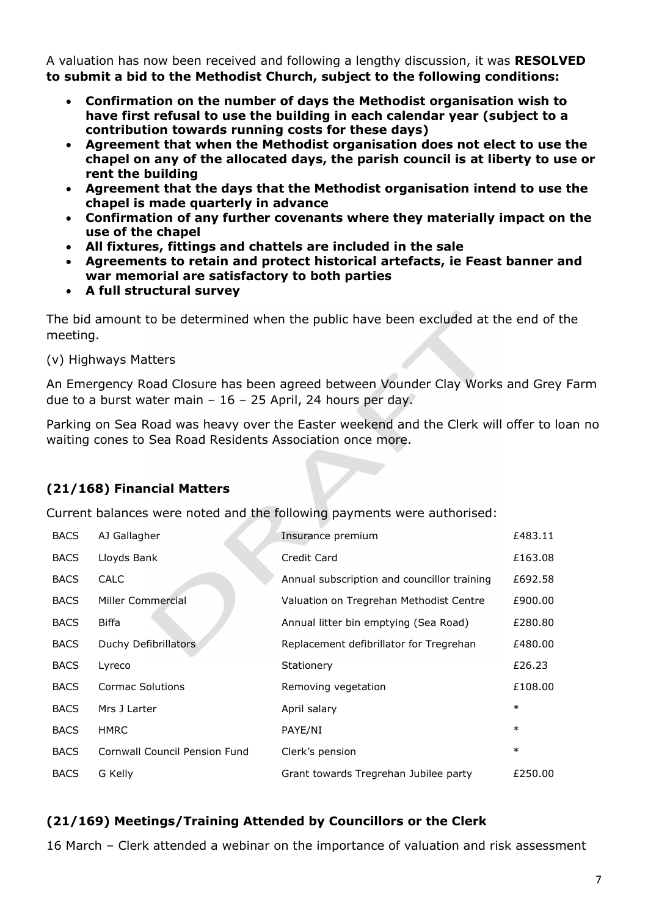A valuation has now been received and following a lengthy discussion, it was RESOLVED to submit a bid to the Methodist Church, subject to the following conditions:

- Confirmation on the number of days the Methodist organisation wish to have first refusal to use the building in each calendar year (subject to a contribution towards running costs for these days)
- Agreement that when the Methodist organisation does not elect to use the chapel on any of the allocated days, the parish council is at liberty to use or rent the building
- Agreement that the days that the Methodist organisation intend to use the chapel is made quarterly in advance
- Confirmation of any further covenants where they materially impact on the use of the chapel
- All fixtures, fittings and chattels are included in the sale
- Agreements to retain and protect historical artefacts, ie Feast banner and war memorial are satisfactory to both parties
- A full structural survey

The bid amount to be determined when the public have been excluded at the end of the meeting.

(v) Highways Matters

An Emergency Road Closure has been agreed between Vounder Clay Works and Grey Farm due to a burst water main – 16 – 25 April, 24 hours per day.

Parking on Sea Road was heavy over the Easter weekend and the Clerk will offer to loan no waiting cones to Sea Road Residents Association once more.

# (21/168) Financial Matters

Current balances were noted and the following payments were authorised:

| <b>BACS</b> | AJ Gallagher                  | Insurance premium                           | £483.11 |
|-------------|-------------------------------|---------------------------------------------|---------|
| <b>BACS</b> | Lloyds Bank                   | Credit Card                                 | £163.08 |
| <b>BACS</b> | <b>CALC</b>                   | Annual subscription and councillor training | £692.58 |
| <b>BACS</b> | Miller Commercial             | Valuation on Tregrehan Methodist Centre     | £900.00 |
| <b>BACS</b> | <b>Biffa</b>                  | Annual litter bin emptying (Sea Road)       | £280.80 |
| <b>BACS</b> | Duchy Defibrillators          | Replacement defibrillator for Tregrehan     | £480.00 |
| <b>BACS</b> | Lyreco                        | Stationery                                  | £26.23  |
| <b>BACS</b> | <b>Cormac Solutions</b>       | Removing vegetation                         | £108.00 |
| <b>BACS</b> | Mrs J Larter                  | April salary                                | $\ast$  |
| <b>BACS</b> | <b>HMRC</b>                   | PAYE/NI                                     | $\ast$  |
| <b>BACS</b> | Cornwall Council Pension Fund | Clerk's pension                             | $\ast$  |
| <b>BACS</b> | G Kelly                       | Grant towards Tregrehan Jubilee party       | £250.00 |

## (21/169) Meetings/Training Attended by Councillors or the Clerk

16 March – Clerk attended a webinar on the importance of valuation and risk assessment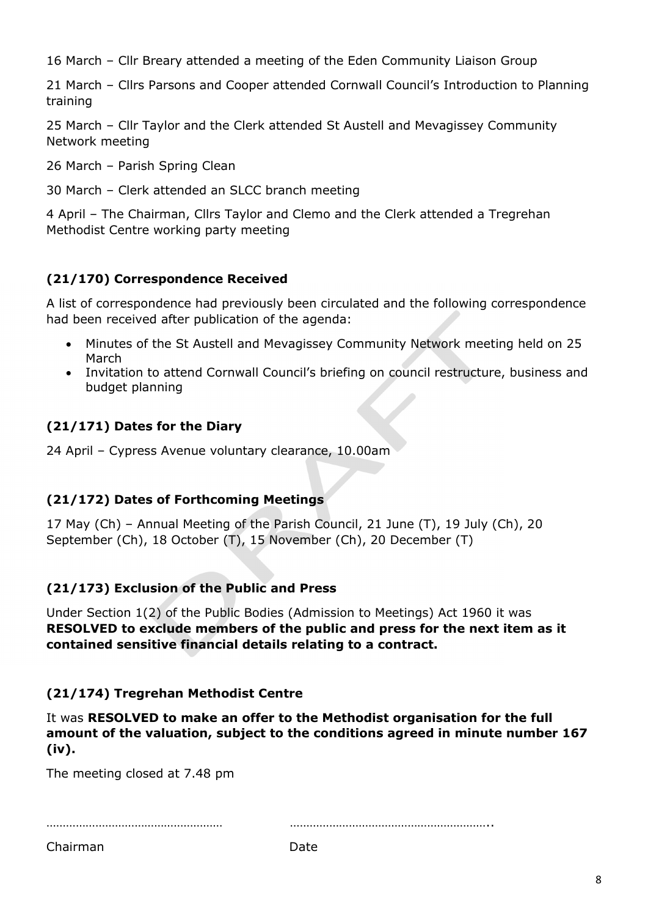16 March – Cllr Breary attended a meeting of the Eden Community Liaison Group

21 March – Cllrs Parsons and Cooper attended Cornwall Council's Introduction to Planning training

25 March – Cllr Taylor and the Clerk attended St Austell and Mevagissey Community Network meeting

26 March – Parish Spring Clean

30 March – Clerk attended an SLCC branch meeting

4 April – The Chairman, Cllrs Taylor and Clemo and the Clerk attended a Tregrehan Methodist Centre working party meeting

### (21/170) Correspondence Received

A list of correspondence had previously been circulated and the following correspondence had been received after publication of the agenda:

- Minutes of the St Austell and Mevagissey Community Network meeting held on 25 March
- Invitation to attend Cornwall Council's briefing on council restructure, business and budget planning

## (21/171) Dates for the Diary

24 April – Cypress Avenue voluntary clearance, 10.00am

#### (21/172) Dates of Forthcoming Meetings

17 May (Ch) – Annual Meeting of the Parish Council, 21 June (T), 19 July (Ch), 20 September (Ch), 18 October (T), 15 November (Ch), 20 December (T)

#### (21/173) Exclusion of the Public and Press

Under Section 1(2) of the Public Bodies (Admission to Meetings) Act 1960 it was RESOLVED to exclude members of the public and press for the next item as it contained sensitive financial details relating to a contract.

#### (21/174) Tregrehan Methodist Centre

It was RESOLVED to make an offer to the Methodist organisation for the full amount of the valuation, subject to the conditions agreed in minute number 167 (iv).

The meeting closed at 7.48 pm

……………………………………………… ……………………………………………………..

Chairman **Date**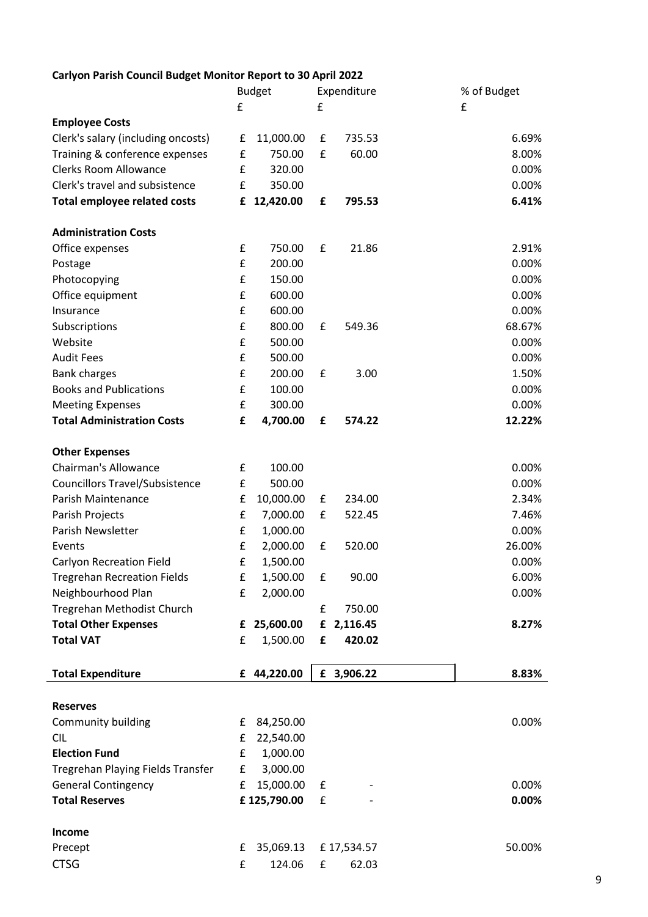### Carlyon Parish Council Budget Monitor Report to 30 April 2022

|                                       |                    | <b>Budget</b> |   | Expenditure | % of Budget |
|---------------------------------------|--------------------|---------------|---|-------------|-------------|
|                                       | £                  |               | £ |             | £           |
| <b>Employee Costs</b>                 |                    |               |   |             |             |
| Clerk's salary (including oncosts)    | £                  | 11,000.00     | £ | 735.53      | 6.69%       |
| Training & conference expenses        | £                  | 750.00        | £ | 60.00       | 8.00%       |
| <b>Clerks Room Allowance</b>          | £                  | 320.00        |   |             | 0.00%       |
| Clerk's travel and subsistence        | £                  | 350.00        |   |             | 0.00%       |
| <b>Total employee related costs</b>   | £                  | 12,420.00     | £ | 795.53      | 6.41%       |
| <b>Administration Costs</b>           |                    |               |   |             |             |
| Office expenses                       | £                  | 750.00        | £ | 21.86       | 2.91%       |
| Postage                               | £                  | 200.00        |   |             | 0.00%       |
| Photocopying                          | £                  | 150.00        |   |             | 0.00%       |
| Office equipment                      | £                  | 600.00        |   |             | 0.00%       |
| Insurance                             | £                  | 600.00        |   |             | 0.00%       |
| Subscriptions                         | £                  | 800.00        | £ | 549.36      | 68.67%      |
| Website                               | £                  | 500.00        |   |             | 0.00%       |
| <b>Audit Fees</b>                     | £                  | 500.00        |   |             | 0.00%       |
| <b>Bank charges</b>                   | £                  | 200.00        | £ | 3.00        | 1.50%       |
| <b>Books and Publications</b>         | £                  | 100.00        |   |             | 0.00%       |
| <b>Meeting Expenses</b>               | £                  | 300.00        |   |             | 0.00%       |
| <b>Total Administration Costs</b>     | £                  | 4,700.00      | £ | 574.22      | 12.22%      |
| <b>Other Expenses</b>                 |                    |               |   |             |             |
| <b>Chairman's Allowance</b>           | £                  | 100.00        |   |             | 0.00%       |
| <b>Councillors Travel/Subsistence</b> | £                  | 500.00        |   |             | 0.00%       |
| Parish Maintenance                    | £                  | 10,000.00     | £ | 234.00      | 2.34%       |
| Parish Projects                       | £                  | 7,000.00      | £ | 522.45      | 7.46%       |
| Parish Newsletter                     | £                  | 1,000.00      |   |             | 0.00%       |
| Events                                | £                  | 2,000.00      | £ | 520.00      | 26.00%      |
| <b>Carlyon Recreation Field</b>       | £                  | 1,500.00      |   |             | 0.00%       |
| <b>Tregrehan Recreation Fields</b>    | $\pmb{\mathsf{f}}$ | 1,500.00      | £ | 90.00       | 6.00%       |
| Neighbourhood Plan                    | £                  | 2,000.00      |   |             | 0.00%       |
| Tregrehan Methodist Church            |                    |               | £ | 750.00      |             |
| <b>Total Other Expenses</b>           | £                  | 25,600.00     |   | £ 2,116.45  | 8.27%       |
| <b>Total VAT</b>                      | £                  | 1,500.00      | £ | 420.02      |             |
| <b>Total Expenditure</b>              |                    | £ 44,220.00   |   | £ 3,906.22  | 8.83%       |
|                                       |                    |               |   |             |             |
| <b>Reserves</b>                       |                    |               |   |             |             |
| Community building                    | £                  | 84,250.00     |   |             | 0.00%       |
| <b>CIL</b>                            | £                  | 22,540.00     |   |             |             |
| <b>Election Fund</b>                  | £                  | 1,000.00      |   |             |             |
| Tregrehan Playing Fields Transfer     | £                  | 3,000.00      |   |             |             |
| <b>General Contingency</b>            | £                  | 15,000.00     | £ |             | 0.00%       |
| <b>Total Reserves</b>                 |                    | £125,790.00   | £ |             | 0.00%       |
| Income                                |                    |               |   |             |             |
| Precept                               | £                  | 35,069.13     |   | £17,534.57  | 50.00%      |
| <b>CTSG</b>                           | £                  | 124.06        | £ | 62.03       |             |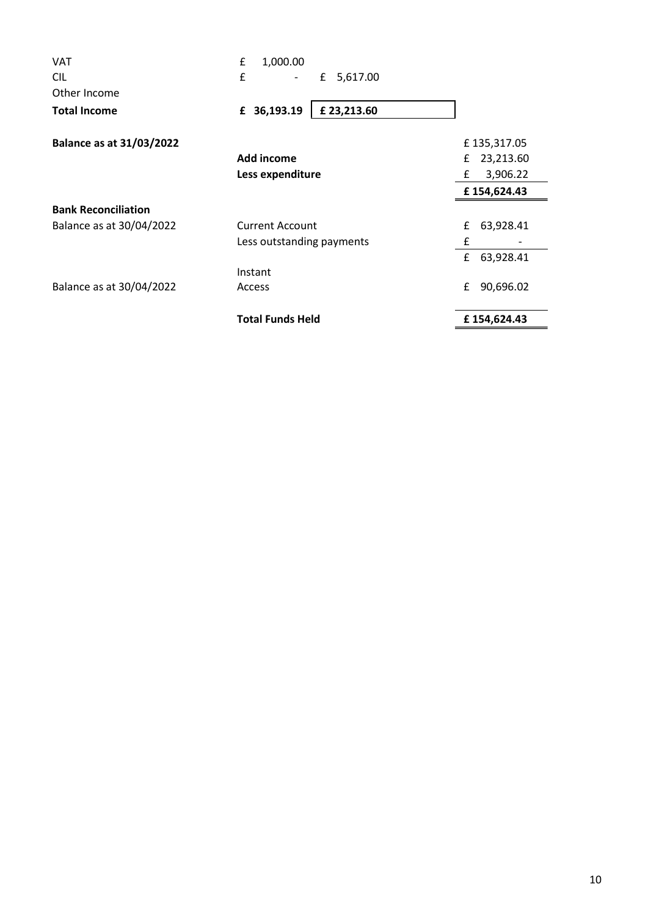| <b>VAT</b>                      | £<br>1,000.00             |                |
|---------------------------------|---------------------------|----------------|
| <b>CIL</b>                      | £<br>5,617.00<br>£        |                |
| Other Income                    |                           |                |
| <b>Total Income</b>             | £ 36,193.19<br>£23,213.60 |                |
| <b>Balance as at 31/03/2022</b> |                           | £135,317.05    |
|                                 | Add income                | 23,213.60<br>£ |
|                                 | Less expenditure          | £<br>3,906.22  |
|                                 |                           | £154,624.43    |
| <b>Bank Reconciliation</b>      |                           |                |
| Balance as at 30/04/2022        | <b>Current Account</b>    | 63,928.41<br>£ |
|                                 | Less outstanding payments | £              |
|                                 |                           | £<br>63,928.41 |
|                                 | Instant                   |                |
| Balance as at 30/04/2022        | Access                    | £<br>90,696.02 |
|                                 | <b>Total Funds Held</b>   | £154,624.43    |